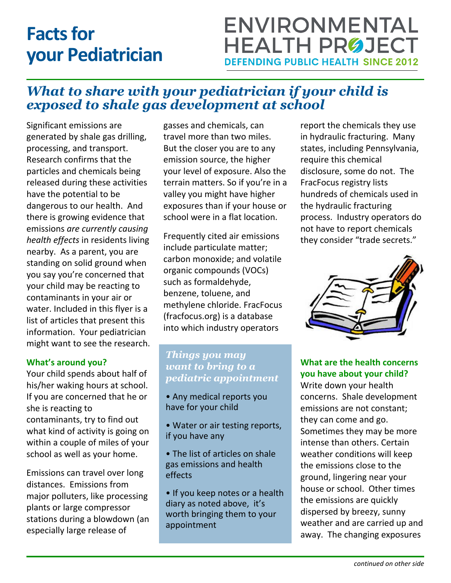# **Facts for your Pediatrician**

## **ENVIRONMENTAL HEALTH PRØJECT DEFENDING PUBLIC HEALTH SINCE 2012**

### *What to share with your pediatrician if your child is exposed to shale gas development at school*

Significant emissions are generated by shale gas drilling, processing, and transport. Research confirms that the particles and chemicals being released during these activities have the potential to be dangerous to our health. And there is growing evidence that emissions *are currently causing health effects* in residents living nearby. As a parent, you are standing on solid ground when you say you're concerned that your child may be reacting to contaminants in your air or water. Included in this flyer is a list of articles that present this information. Your pediatrician might want to see the research.

#### **What's around you?**

Your child spends about half of his/her waking hours at school. If you are concerned that he or she is reacting to contaminants, try to find out what kind of activity is going on within a couple of miles of your school as well as your home.

Emissions can travel over long distances. Emissions from major polluters, like processing plants or large compressor stations during a blowdown (an especially large release of

gasses and chemicals, can travel more than two miles. But the closer you are to any emission source, the higher your level of exposure. Also the terrain matters. So if you're in a valley you might have higher exposures than if your house or school were in a flat location.

Frequently cited air emissions include particulate matter; carbon monoxide; and volatile organic compounds (VOCs) such as formaldehyde, benzene, toluene, and methylene chloride. FracFocus (fracfocus.org) is a database into which industry operators

#### *Things you may want to bring to a pediatric appointment*

- Any medical reports you have for your child
- Water or air testing reports, if you have any
- The list of articles on shale gas emissions and health effects
- If you keep notes or a health diary as noted above, it's worth bringing them to your appointment

report the chemicals they use in hydraulic fracturing. Many states, including Pennsylvania, require this chemical disclosure, some do not. The FracFocus registry lists hundreds of chemicals used in the hydraulic fracturing process. Industry operators do not have to report chemicals they consider "trade secrets."



**What are the health concerns you have about your child?**

Write down your health concerns. Shale development emissions are not constant; they can come and go. Sometimes they may be more intense than others. Certain weather conditions will keep the emissions close to the ground, lingering near your house or school. Other times the emissions are quickly dispersed by breezy, sunny weather and are carried up and away. The changing exposures